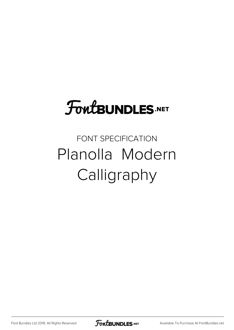# **FoutBUNDLES.NET**

## FONT SPECIFICATION Planolla Modern Calligraphy

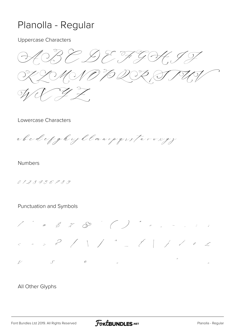### Planolla - Regular

**Uppercase Characters** 

B & D & F G H MNO TO QOZ  $\widetilde{\subset}$  $\mathbb{Z}$ 

#### Lowercase Characters

abcdcfghyklmnopqvstuvwegy

**Numbers** 

0123456789

#### Punctuation and Symbols



#### All Other Glyphs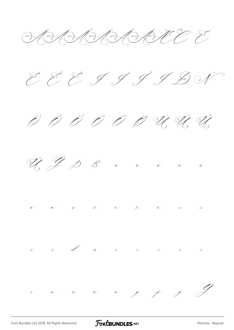HAAAAAAAEEE









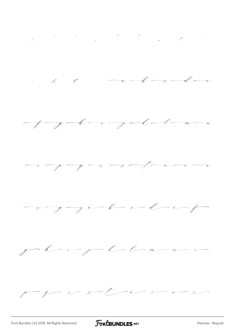